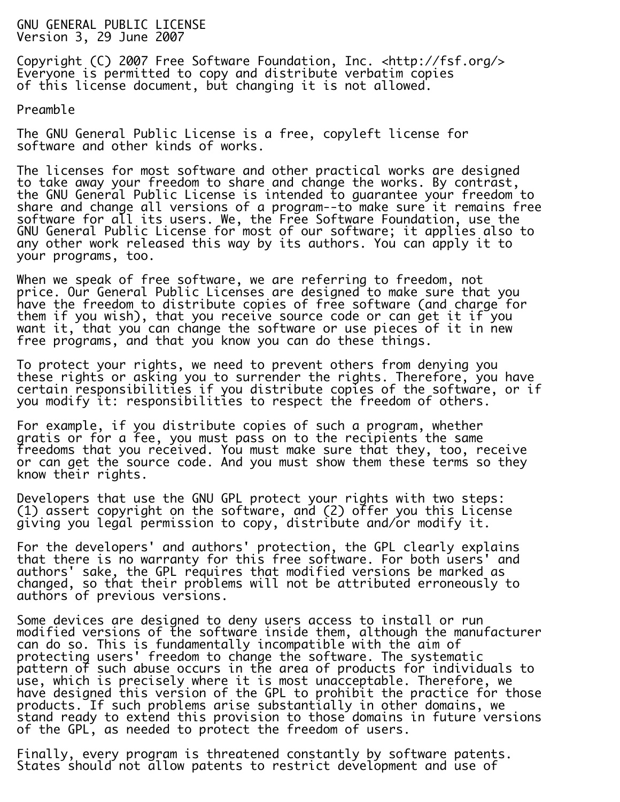GNU GENERAL PUBLIC LICENSE Version 3, 29 June 2007

Copyright (C) 2007 Free Software Foundation, Inc. <http://fsf.org/> Everyone is permitted to copy and distribute verbatim copies of this license document, but changing it is not allowed.

Preamble

The GNU General Public License is a free, copyleft license for software and other kinds of works.

The licenses for most software and other practical works are designed to take away your freedom to share and change the works. By contrast, the GNU General Public License is intended to guarantee your freedom to share and change all versions of a program--to make sure it remains free software for all its users. We, the Free Software Foundation, use the GNU General Public License for most of our software; it applies also to any other work released this way by its authors. You can apply it to your programs, too.

Ī. When we speak of free software, we are referring to freedom, not price. Our General Public Licenses are designed to make sure that you have the freedom to distribute copies of free software (and charge for them if you wish), that you receive source code or can get it if you want it, that you can change the software or use pieces of it in new free programs, and that you know you can do these things.

To protect your rights, we need to prevent others from denying you these rights or asking you to surrender the rights. Therefore, you have certain responsibilities if you distribute copies of the software, or if you modify it: responsibilities to respect the freedom of others.

For example, if you distribute copies of such a program, whether gratis or for a fee, you must pass on to the recipients the same freedoms that you received. You must make sure that they, too, receive or can get the source code. And you must show them these terms so they know their rights.

Developers that use the GNU GPL protect your rights with two steps: (1) assert copyright on the software, and (2) offer you this License giving you legal permission to copy, distribute and/or modify it.

For the developers' and authors' protection, the GPL clearly explains that there is no warranty for this free software. For both users' and authors' sake, the GPL requires that modified versions be marked as changed, so that their problems will not be attributed erroneously to authors of previous versions.

Some devices are designed to deny users access to install or run modified versions of the software inside them, although the manufacturer can do so. This is fundamentally incompatible with the aim of protecting users' freedom to change the software. The systematic pattern of such abuse occurs in the area of products for individuals to use, which is precisely where it is most unacceptable. Therefore, we have designed this version of the GPL to prohibit the practice for those products. If such problems arise substantially in other domains, we stand ready to extend this provision to those domains in future versions of the GPL, as needed to protect the freedom of users.

Finally, every program is threatened constantly by software patents. States should not allow patents to restrict development and use of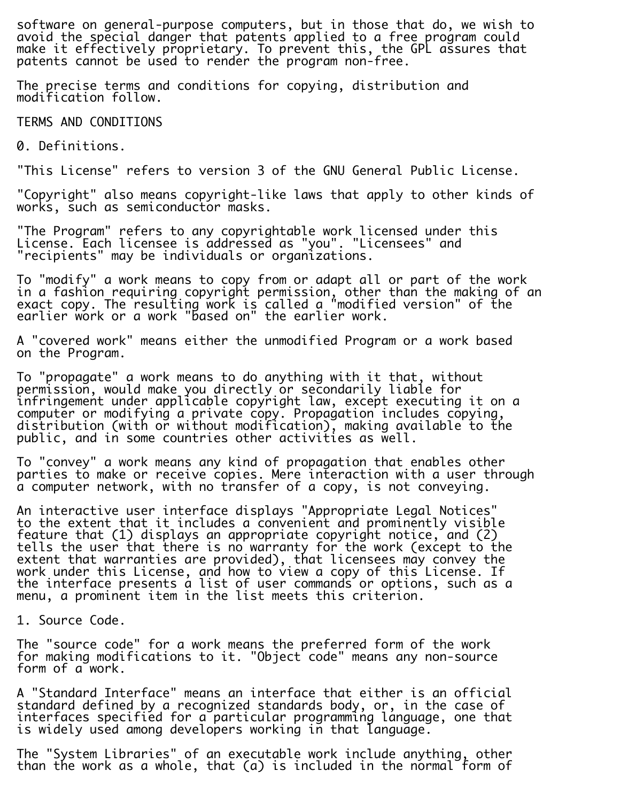software on general-purpose computers, but in those that do, we wish to avoid the special danger that patents applied to a free program could make it effectively proprietary. To prevent this, the GPL assures that patents cannot be used to render the program non-free.

i. The precise terms and conditions for copying, distribution and modification follow.

TERMS AND CONDITIONS

0. Definitions.

"This License" refers to version 3 of the GNU General Public License.

"Copyright" also means copyright-like laws that apply to other kinds of works, such as semiconductor masks.

"The Program" refers to any copyrightable work licensed under this License. Each licensee is addressed as "you". "Licensees" and "recipients" may be individuals or organizations.

To "modify" a work means to copy from or adapt all or part of the work in a fashion requiring copyright permission, other than the making of an exact copy. The resulting work is called a "modified version" of the earlier work or a work "based on" the earlier work.

A "covered work" means either the unmodified Program or a work based on the Program.

To "propagate" a work means to do anything with it that, without permission, would make you directly or secondarily liable for infringement under applicable copyright law, except executing it on a computer or modifying a private copy. Propagation includes copying, distribution (with or without modification), making available to the public, and in some countries other activities as well.

i. To "convey" a work means any kind of propagation that enables other parties to make or receive copies. Mere interaction with a user through a computer network, with no transfer of a copy, is not conveying.

An interactive user interface displays "Appropriate Legal Notices" to the extent that it includes a convenient and prominently visible feature that (1) displays an appropriate copyright notice, and (2) tells the user that there is no warranty for the work (except to the extent that warranties are provided), that licensees may convey the work under this License, and how to view a copy of this License. If the interface presents a list of user commands or options, such as a menu, a prominent item in the list meets this criterion.

1. Source Code.

The "source code" for a work means the preferred form of the work for making modifications to it. "Object code" means any non-source form of a work.

A "Standard Interface" means an interface that either is an official standard defined by a recognized standards body, or, in the case of interfaces specified for a particular programming language, one that is widely used among developers working in that language.

The "System Libraries" of an executable work include anything, other than the work as a whole, that (a) is included in the normal form of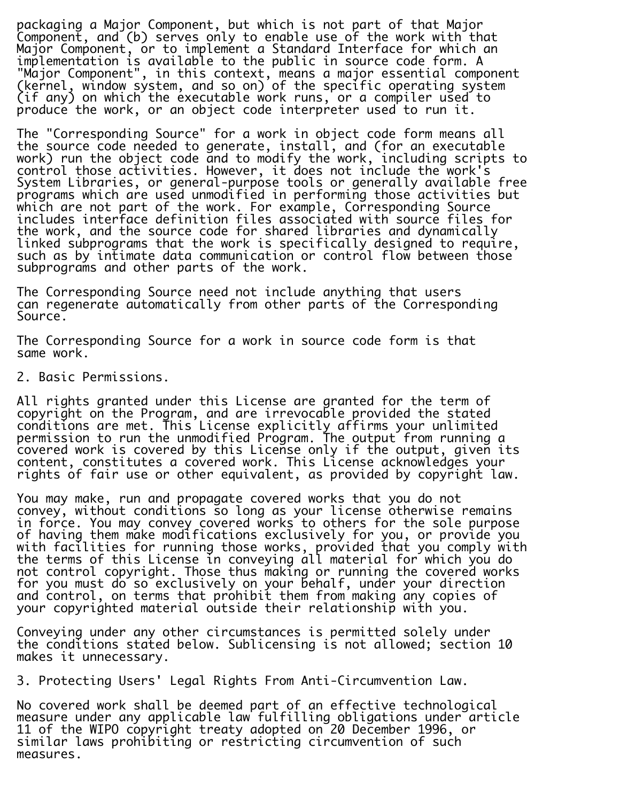packaging a Major Component, but which is not part of that Major Component, and (b) serves only to enable use of the work with that Major Component, or to implement a Standard Interface for which an implementation is available to the public in source code form. A "Major Component", in this context, means a major essential component (kernel, window system, and so on) of the specific operating system (if any) on which the executable work runs, or a compiler used to produce the work, or an object code interpreter used to run it.

i. The "Corresponding Source" for a work in object code form means all the source code needed to generate, install, and (for an executable work) run the object code and to modify the work, including scripts to control those activities. However, it does not include the work's System Libraries, or general-purpose tools or generally available free programs which are used unmodified in performing those activities but which are not part of the work. For example, Corresponding Source includes interface definition files associated with source files for the work, and the source code for shared libraries and dynamically linked subprograms that the work is specifically designed to require, such as by intimate data communication or control flow between those subprograms and other parts of the work.

The Corresponding Source need not include anything that users can regenerate automatically from other parts of the Corresponding Source.

The Corresponding Source for a work in source code form is that same work.

2. Basic Permissions.

All rights granted under this License are granted for the term of copyright on the Program, and are irrevocable provided the stated conditions are met. This License explicitly affirms your unlimited permission to run the unmodified Program. The output from running a covered work is covered by this License only if the output, given its content, constitutes a covered work. This License acknowledges your rights of fair use or other equivalent, as provided by copyright law.

You may make, run and propagate covered works that you do not convey, without conditions so long as your license otherwise remains in force. You may convey covered works to others for the sole purpose of having them make modifications exclusively for you, or provide you with facilities for running those works, provided that you comply with the terms of this License in conveying all material for which you do not control copyright. Those thus making or running the covered works for you must do so exclusively on your behalf, under your direction and control, on terms that prohibit them from making any copies of your copyrighted material outside their relationship with you.

Ī. Conveying under any other circumstances is permitted solely under the conditions stated below. Sublicensing is not allowed; section 10 makes it unnecessary.

3. Protecting Users' Legal Rights From Anti-Circumvention Law.

No covered work shall be deemed part of an effective technological measure under any applicable law fulfilling obligations under article 11 of the WIPO copyright treaty adopted on 20 December 1996, or similar laws prohibiting or restricting circumvention of such measures.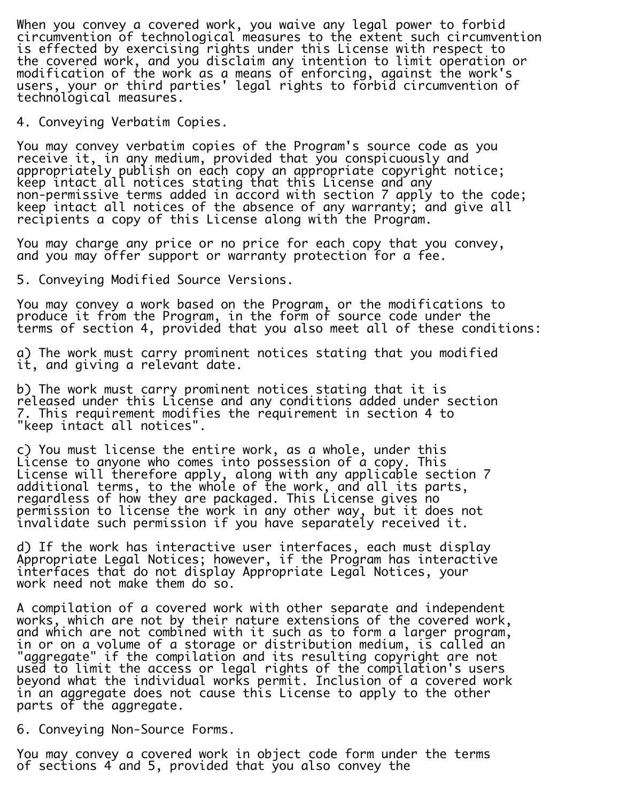When you convey a covered work, you waive any legal power to forbid circumvention of technological measures to the extent such circumvention is effected by exercising rights under this License with respect to the covered work, and you disclaim any intention to limit operation or modification of the work as a means of enforcing, against the work's users, your or third parties' legal rights to forbid circumvention of technological measures.

4. Conveying Verbatim Copies.

You may convey verbatim copies of the Program's source code as you receive it, in any medium, provided that you conspicuously and appropriately publish on each copy an appropriate copyright notice; keep intact all notices stating that this License and any non-permissive terms added in accord with section 7 apply to the code; keep intact all notices of the absence of any warranty; and give all recipients a copy of this License along with the Program.

You may charge any price or no price for each copy that you convey, and you may offer support or warranty protection for a fee.

5. Conveying Modified Source Versions.

You may convey a work based on the Program, or the modifications to produce it from the Program, in the form of source code under the terms of section 4, provided that you also meet all of these conditions:

a) The work must carry prominent notices stating that you modified it, and giving a relevant date.

b) The work must carry prominent notices stating that it is released under this License and any conditions added under section 7. This requirement modifies the requirement in section 4 to "keep intact all notices".

c) You must license the entire work, as a whole, under this License to anyone who comes into possession of a copy. This License will therefore apply, along with any applicable section 7 additional terms, to the whole of the work, and all its parts, regardless of how they are packaged. This License gives no permission to license the work in any other way, but it does not invalidate such permission if you have separately received it.

d) If the work has interactive user interfaces, each must display Appropriate Legal Notices; however, if the Program has interactive interfaces that do not display Appropriate Legal Notices, your work need not make them do so.

A compilation of a covered work with other separate and independent works, which are not by their nature extensions of the covered work, and which are not combined with it such as to form a larger program, in or on a volume of a storage or distribution medium, is called an "aggregate" if the compilation and its resulting copyright are not used to limit the access or legal rights of the compilation's users beyond what the individual works permit. Inclusion of a covered work in an aggregate does not cause this License to apply to the other parts of the aggregate. i.

6. Conveying Non-Source Forms.

You may convey a covered work in object code form under the terms of sections 4 and 5, provided that you also convey the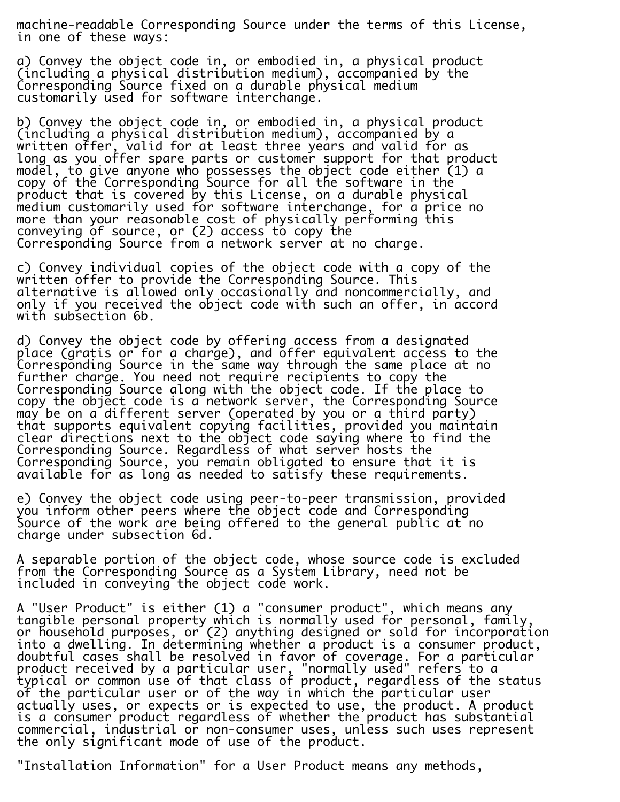machine-readable Corresponding Source under the terms of this License, in one of these ways:

a) Convey the object code in, or embodied in, a physical product (including a physical distribution medium), accompanied by the Corresponding Source fixed on a durable physical medium customarily used for software interchange.

b) Convey the object code in, or embodied in, a physical product (including a physical distribution medium), accompanied by a written offer, valid for at least three years and valid for as long as you offer spare parts or customer support for that product model, to give anyone who possesses the object code either (1) a copy of the Corresponding Source for all the software in the product that is covered by this License, on a durable physical medium customarily used for software interchange, for a price no more than your reasonable cost of physically performing this conveying of source, or (2) access to copy the Corresponding Source from a network server at no charge.

c) Convey individual copies of the object code with a copy of the written offer to provide the Corresponding Source. This alternative is allowed only occasionally and noncommercially, and only if you received the object code with such an offer, in accord with subsection 6b.

d) Convey the object code by offering access from a designated place (gratis or for a charge), and offer equivalent access to the Corresponding Source in the same way through the same place at no further charge. You need not require recipients to copy the Corresponding Source along with the object code. If the place to copy the object code is a network server, the Corresponding Source may be on a different server (operated by you or a third party) that supports equivalent copying facilities, provided you maintain clear directions next to the object code saying where to find the Corresponding Source. Regardless of what server hosts the Corresponding Source, you remain obligated to ensure that it is available for as long as needed to satisfy these requirements.

e) Convey the object code using peer-to-peer transmission, provided you inform other peers where the object code and Corresponding Source of the work are being offered to the general public  $at$  no charge under subsection 6d.

A separable portion of the object code, whose source code is excluded from the Corresponding Source as a System Library, need not be included in conveying the object code work.

A "User Product" is either (1) a "consumer product", which means any tangible personal property which is normally used for personal, family, or household purposes, or (2) anything designed or sold for incorporation into a dwelling. In determining whether a product is a consumer product, doubtful cases shall be resolved in favor of coverage. For a particular product received by a particular user, "normally used" refers to a typical or common use of that class of product, regardless of the status of the particular user or of the way in which the particular user actually uses, or expects or is expected to use, the product. A product is a consumer product regardless of whether the product has substantial commercial, industrial or non-consumer uses, unless such uses represent the only significant mode of use of the product.

"Installation Information" for a User Product means any methods,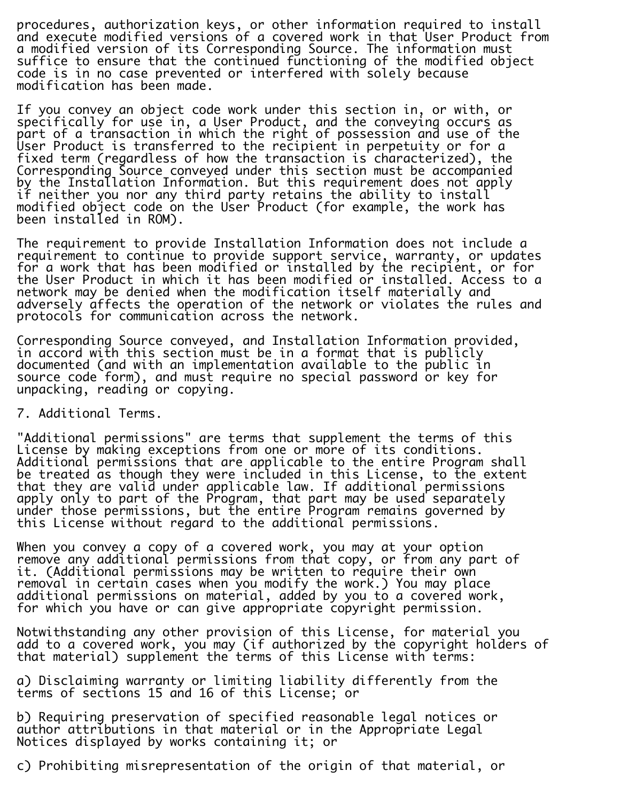procedures, authorization keys, or other information required to install and execute modified versions of a covered work in that User Product from a modified version of its Corresponding Source. The information must suffice to ensure that the continued functioning of the modified object code is in no case prevented or interfered with solely because modification has been made.

If you convey an object code work under this section in, or with, or specifically for use in, a User Product, and the conveying occurs as part of a transaction in which the right of possession and use of the User Product is transferred to the recipient in perpetuity or for a fixed term (regardless of how the transaction is characterized), the Corresponding Source conveyed under this section must be accompanied by the Installation Information. But this requirement does not apply if neither you nor any third party retains the ability to install modified object code on the User Product (for example, the work has been installed in ROM).

The requirement to provide Installation Information does not include a requirement to continue to provide support service, warranty, or updates for a work that has been modified or installed by the recipient, or for the User Product in which it has been modified or installed. Access to a network may be denied when the modification itself materially and adversely affects the operation of the network or violates the rules and protocols for communication across the network.

i. Corresponding Source conveyed, and Installation Information provided, in accord with this section must be in a format that is publicly documented (and with an implementation available to the public in source code form), and must require no special password or key for unpacking, reading or copying.

7. Additional Terms.

"Additional permissions" are terms that supplement the terms of this License by making exceptions from one or more of its conditions. Additional permissions that are applicable to the entire Program shall be treated as though they were included in this License, to the extent that they are valid under applicable law. If additional permissions apply only to part of the Program, that part may be used separately under those permissions, but the entire Program remains governed by this License without regard to the additional permissions.

When you convey a copy of a covered work, you may at your option remove any additional permissions from that copy, or from any part of it. (Additional permissions may be written to require their own removal in certain cases when you modify the work.) You may place additional permissions on material, added by you to a covered work, for which you have or can give appropriate copyright permission.

Notwithstanding any other provision of this License, for material you add to a covered work, you may (if authorized by the copyright holders of that material) supplement the terms of this License with terms:

a) Disclaiming warranty or limiting liability differently from the terms of sections 15 and 16 of this License; or

b) Requiring preservation of specified reasonable legal notices or author attributions in that material or in the Appropriate Legal Notices displayed by works containing it; or

c) Prohibiting misrepresentation of the origin of that material, or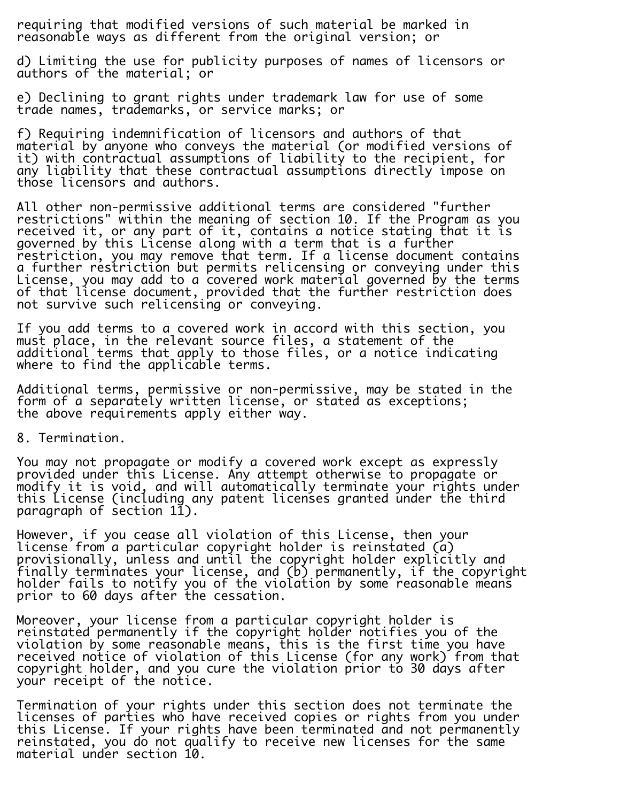requiring that modified versions of such material be marked in reasonable ways as different from the original version; or

d) Limiting the use for publicity purposes of names of licensors or authors of the material; or

e) Declining to grant rights under trademark law for use of some trade names, trademarks, or service marks; or

f) Requiring indemnification of licensors and authors of that material by anyone who conveys the material (or modified versions of it) with contractual assumptions of liability to the recipient, for any liability that these contractual assumptions directly impose on those licensors and authors.

All other non-permissive additional terms are considered "further restrictions" within the meaning of section 10. If the Program as you received it, or any part of it, contains a notice stating that it is governed by this License along with a term that is a further restriction, you may remove that term. If a license document contains a further restriction but permits relicensing or conveying under this License, you may add to a covered work material governed by the terms of that license document, provided that the further restriction does not survive such relicensing or conveying.

If you add terms to a covered work in accord with this section, you must place, in the relevant source files, a statement of the additional terms that apply to those files, or a notice indicating where to find the applicable terms.

Additional terms, permissive or non-permissive, may be stated in the form of a separately written license, or stated as exceptions; the above requirements apply either way.

8. Termination.

You may not propagate or modify a covered work except as expressly provided under this License. Any attempt otherwise to propagate or modify it is void, and will automatically terminate your rights under this License (including any patent licenses granted under the third paragraph of section 11). i.

However, if you cease all violation of this License, then your license from a particular copyright holder is reinstated (a) provisionally, unless and until the copyright holder explicitly and finally terminates your license, and (b) permanently, if the copyright holder fails to notify you of the violation by some reasonable means prior to 60 days after the cessation. i.

Moreover, your license from a particular copyright holder is reinstated permanently if the copyright holder notifies you of the violation by some reasonable means, this is the first time you have received notice of violation of this License (for any work) from that copyright holder, and you cure the violation prior to 30 days after your receipt of the notice.

Ī. Termination of your rights under this section does not terminate the licenses of parties who have received copies or rights from you under this License. If your rights have been terminated and not permanently reinstated, you do not qualify to receive new licenses for the same material under section 10.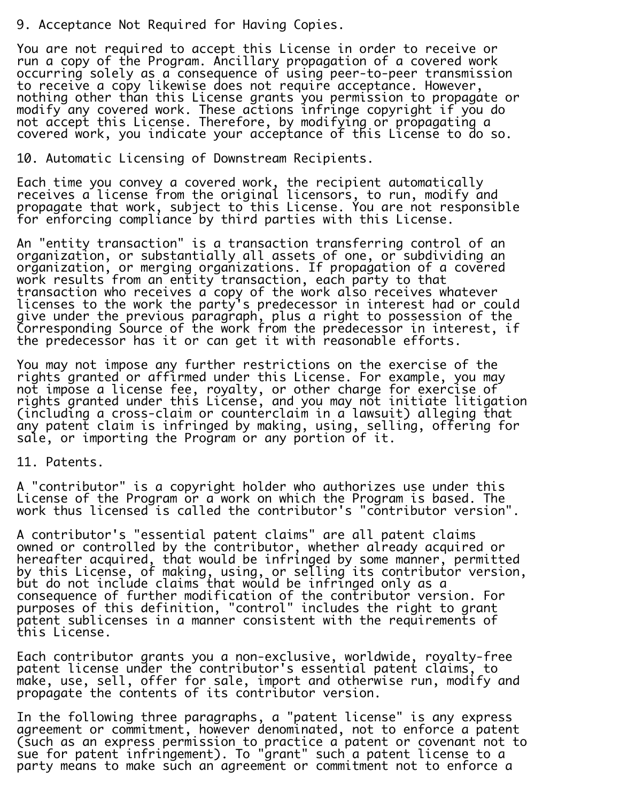## 9. Acceptance Not Required for Having Copies.

You are not required to accept this License in order to receive or run a copy of the Program. Ancillary propagation of a covered work occurring solely as a consequence of using peer-to-peer transmission to receive a copy likewise does not require acceptance. However, nothing other than this License grants you permission to propagate or modify any covered work. These actions infringe copyright if you do not accept this License. Therefore, by modifying or propagating a covered work, you indicate your acceptance of this License to do so.

10. Automatic Licensing of Downstream Recipients.

Each time you convey a covered work, the recipient automatically receives a license from the original licensors, to run, modify and propagate that work, subject to this License. You are not responsible for enforcing compliance by third parties with this License.

An "entity transaction" is a transaction transferring control of an organization, or substantially all assets of one, or subdividing an organization, or merging organizations. If propagation of a covered work results from an entity transaction, each party to that transaction who receives a copy of the work also receives whatever licenses to the work the party's predecessor in interest had or could give under the previous paragraph, plus a right to possession of the Corresponding Source of the work from the predecessor in interest, if the predecessor has it or can get it with reasonable efforts.

You may not impose any further restrictions on the exercise of the rights granted or affirmed under this License. For example, you may not impose a license fee, royalty, or other charge for exercise of rights granted under this License, and you may not initiate litigation (including a cross-claim or counterclaim in a lawsuit) alleging that any patent claim is infringed by making, using, selling, offering for sale, or importing the Program or any portion of it.

11. Patents.

A "contributor" is a copyright holder who authorizes use under this License of the Program or a work on which the Program is based. The work thus licensed is called the contributor's "contributor version".

A contributor's "essential patent claims" are all patent claims owned or controlled by the contributor, whether already acquired or hereafter acquired, that would be infringed by some manner, permitted by this License, of making, using, or selling its contributor version, but do not include claims that would be infringed only as a consequence of further modification of the contributor version. For purposes of this definition, "control" includes the right to grant patent sublicenses in a manner consistent with the requirements of this License.

Each contributor grants you a non-exclusive, worldwide, royalty-free patent license under the contributor's essential patent claims, to make, use, sell, offer for sale, import and otherwise run, modify and propagate the contents of its contributor version.

In the following three paragraphs, a "patent license" is any express agreement or commitment, however denominated, not to enforce a patent (such as an express permission to practice a patent or covenant not to sue for patent infringement). To "grant" such a patent license to a party means to make such an agreement or commitment not to enforce a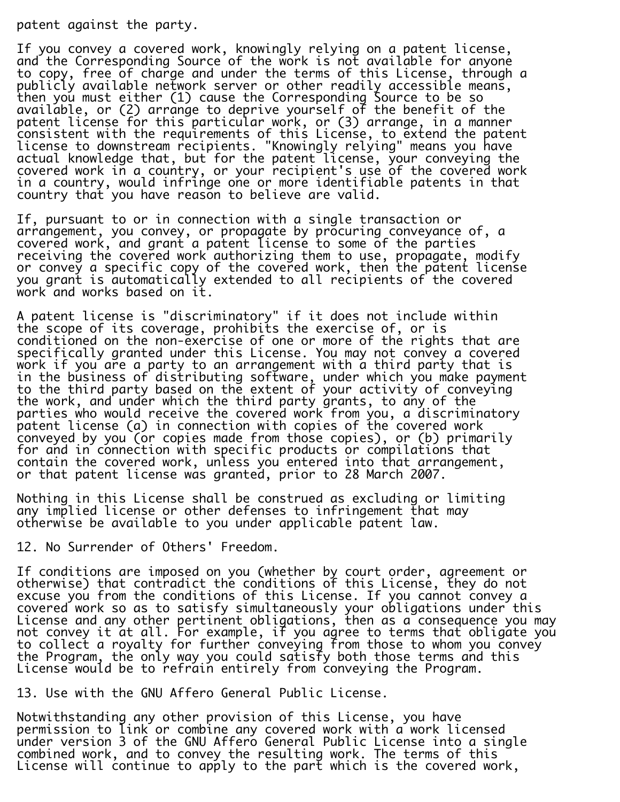patent against the party.

i.

If you convey a covered work, knowingly relying on a patent license, and the Corresponding Source of the work is not available for anyone to copy, free of charge and under the terms of this License, through a publicly available network server or other readily accessible means, then you must either (1) cause the Corresponding Source to be so available, or (2) arrange to deprive yourself of the benefit of the patent license for this particular work, or (3) arrange, in a manner consistent with the requirements of this License, to extend the patent license to downstream recipients. "Knowingly relying" means you have actual knowledge that, but for the patent license, your conveying the covered work in a country, or your recipient's use of the covered work in a country, would infringe one or more identifiable patents in that country that you have reason to believe are valid.

If, pursuant to or in connection with a single transaction or arrangement, you convey, or propagate by procuring conveyance of, a covered work, and grant a patent license to some of the parties receiving the covered work authorizing them to use, propagate, modify or convey a specific copy of the covered work, then the patent license you grant is automatically extended to all recipients of the covered work and works based on it.

A patent license is "discriminatory" if it does not include within the scope of its coverage, prohibits the exercise of, or is conditioned on the non-exercise of one or more of the rights that are specifically granted under this License. You may not convey a covered work if you are a party to an arrangement with a third party that is in the business of distributing software, under which you make payment to the third party based on the extent of your activity of conveying the work, and under which the third party grants, to any of the parties who would receive the covered work from you, a discriminatory patent license (a) in connection with copies of the covered work conveyed by you (or copies made from those copies), or (b) primarily for and in connection with specific products or compilations that contain the covered work, unless you entered into that arrangement, or that patent license was granted, prior to 28 March 2007.

Nothing in this License shall be construed as excluding or limiting any implied license or other defenses to infringement that may otherwise be available to you under applicable patent law.

12. No Surrender of Others' Freedom.

If conditions are imposed on you (whether by court order, agreement or otherwise) that contradict the conditions of this License, they do not excuse you from the conditions of this License. If you cannot convey a covered work so as to satisfy simultaneously your obligations under this License and any other pertinent obligations, then as a consequence you may not convey it at all. For example, if you agree to terms that obligate you to collect a royalty for further conveying from those to whom you convey the Program, the only way you could satisfy both those terms and this License would be to refrain entirely from conveying the Program.

13. Use with the GNU Affero General Public License.

Notwithstanding any other provision of this License, you have permission to link or combine any covered work with a work licensed under version 3 of the GNU Affero General Public License into a single combined work, and to convey the resulting work. The terms of this License will continue to apply to the part which is the covered work,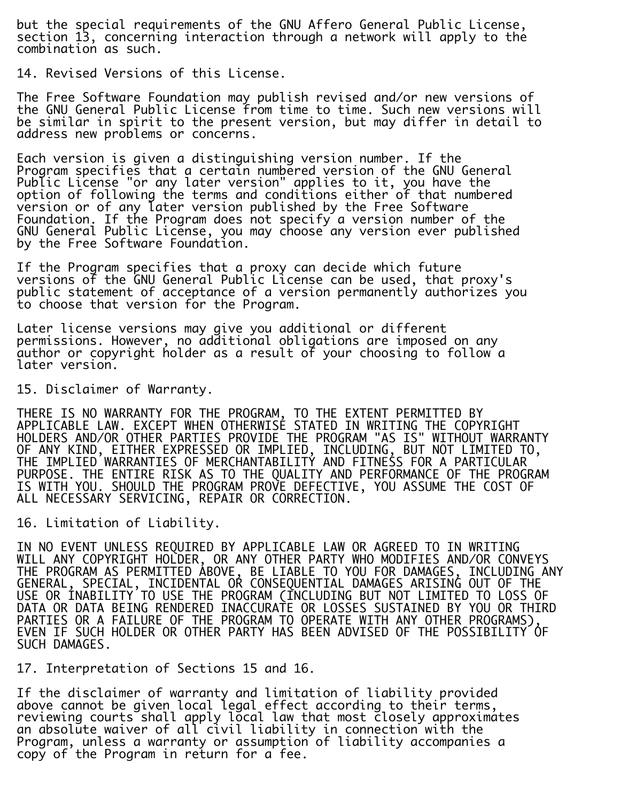but the special requirements of the GNU Affero General Public License, section 13, concerning interaction through a network will apply to the combination as such.

14. Revised Versions of this License.

The Free Software Foundation may publish revised and/or new versions of the GNU General Public License from time to time. Such new versions will be similar in spirit to the present version, but may differ in detail to address new problems or concerns.

Each version is given a distinguishing version number. If the Program specifies that a certain numbered version of the GNU General Public License "or any later version" applies to it, you have the option of following the terms and conditions either of that numbered version or of any later version published by the Free Software Foundation. If the Program does not specify a version number of the GNU General Public License, you may choose any version ever published by the Free Software Foundation.

If the Program specifies that a proxy can decide which future versions of the GNU General Public License can be used, that proxy's public statement of acceptance of a version permanently authorizes you to choose that version for the Program.

Later license versions may give you additional or different permissions. However, no additional obligations are imposed on any author or copyright holder as a result of your choosing to follow a later version.

15. Disclaimer of Warranty.

THERE IS NO WARRANTY FOR THE PROGRAM, TO THE EXTENT PERMITTED BY APPLICABLE LAW. EXCEPT WHEN OTHERWISE STATED IN WRITING THE COPYRIGHT HOLDERS AND/OR OTHER PARTIES PROVIDE THE PROGRAM "AS IS" WITHOUT WARRANTY OF ANY KIND, EITHER EXPRESSED OR IMPLIED, INCLUDING, BUT NOT LIMITED TO, THE IMPLIED WARRANTIES OF MERCHANTABILITY AND FITNESS FOR A PARTICULAR PURPOSE. THE ENTIRE RISK AS TO THE QUALITY AND PERFORMANCE OF THE PROGRAM IS WITH YOU. SHOULD THE PROGRAM PROVE DEFECTIVE, YOU ASSUME THE COST OF ALL NECESSARY SERVICING, REPAIR OR CORRECTION.

16. Limitation of Liability.

IN NO EVENT UNLESS REQUIRED BY APPLICABLE LAW OR AGREED TO IN WRITING WILL ANY COPYRIGHT HOLDER, OR ANY OTHER PARTY WHO MODIFIES AND/OR CONVEYS THE PROGRAM AS PERMITTED ABOVE, BE LIABLE TO YOU FOR DAMAGES, INCLUDING ANY GENERAL, SPECIAL, INCIDENTAL OR CONSEQUENTIAL DAMAGES ARISING OUT OF THE USE OR INABILITY TO USE THE PROGRAM (INCLUDING BUT NOT LIMITED TO LOSS OF DATA OR DATA BEING RENDERED INACCURATE OR LOSSES SUSTAINED BY YOU OR THIRD PARTIES OR A FAILURE OF THE PROGRAM TO OPERATE WITH ANY OTHER PROGRAMS), EVEN IF SUCH HOLDER OR OTHER PARTY HAS BEEN ADVISED OF THE POSSIBILITY OF SUCH DAMAGES.

17. Interpretation of Sections 15 and 16.

If the disclaimer of warranty and limitation of liability provided above cannot be given local legal effect according to their terms, reviewing courts shall apply local law that most closely approximates an absolute waiver of all civil liability in connection with the Program, unless a warranty or assumption of liability accompanies a copy of the Program in return for a fee.